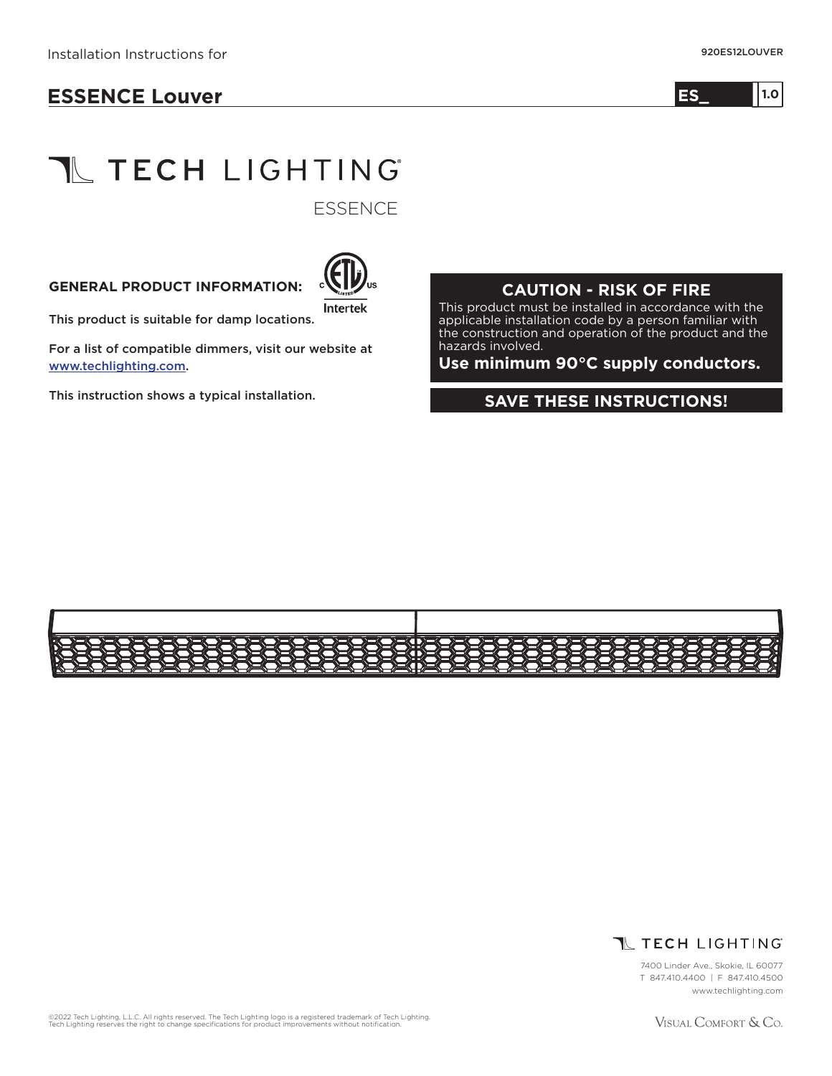## **ESSENCE Louver**

# **TL TECH LIGHTING**

**ESSENCE** 

#### **GENERAL PRODUCT INFORMATION:**



This product is suitable for damp locations.

For a list of compatible dimmers, visit our website at www.techlighting.com.

This instruction shows a typical installation.

#### **CAUTION - RISK OF FIRE**

This product must be installed in accordance with the applicable installation code by a person familiar with the construction and operation of the product and the hazards involved.

**Use minimum 90°C supply conductors.**

#### **SAVE THESE INSTRUCTIONS!**





7400 Linder Ave., Skokie, IL 60077 T 847.410.4400 | F 847.410.4500 www.techlighting.com

©2022 Tech Lighting, L.L.C. All rights reserved. The Tech Lighting logo is a registered trademark of Tech Lighting.<br>Tech Lighting reserves the right to change specifications for product improvements without notification.